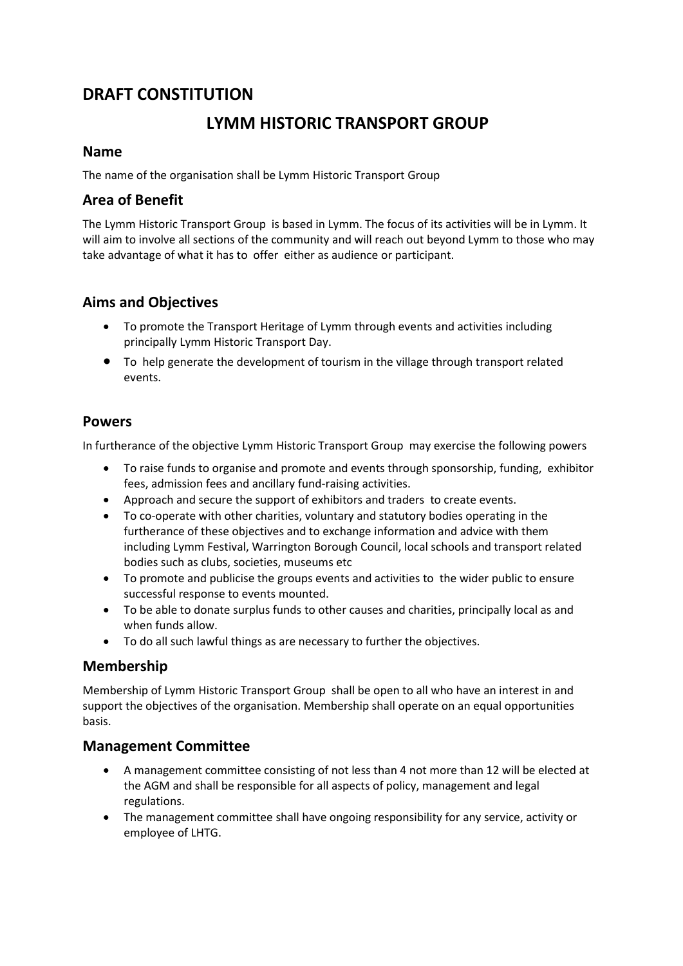## **DRAFT CONSTITUTION**

# **LYMM HISTORIC TRANSPORT GROUP**

#### **Name**

The name of the organisation shall be Lymm Historic Transport Group

## **Area of Benefit**

The Lymm Historic Transport Group is based in Lymm. The focus of its activities will be in Lymm. It will aim to involve all sections of the community and will reach out beyond Lymm to those who may take advantage of what it has to offer either as audience or participant.

## **Aims and Objectives**

- To promote the Transport Heritage of Lymm through events and activities including principally Lymm Historic Transport Day.
- To help generate the development of tourism in the village through transport related events.

### **Powers**

In furtherance of the objective Lymm Historic Transport Group may exercise the following powers

- To raise funds to organise and promote and events through sponsorship, funding, exhibitor fees, admission fees and ancillary fund-raising activities.
- Approach and secure the support of exhibitors and traders to create events.
- To co-operate with other charities, voluntary and statutory bodies operating in the furtherance of these objectives and to exchange information and advice with them including Lymm Festival, Warrington Borough Council, local schools and transport related bodies such as clubs, societies, museums etc
- To promote and publicise the groups events and activities to the wider public to ensure successful response to events mounted.
- To be able to donate surplus funds to other causes and charities, principally local as and when funds allow.
- To do all such lawful things as are necessary to further the objectives.

### **Membership**

Membership of Lymm Historic Transport Group shall be open to all who have an interest in and support the objectives of the organisation. Membership shall operate on an equal opportunities basis.

### **Management Committee**

- A management committee consisting of not less than 4 not more than 12 will be elected at the AGM and shall be responsible for all aspects of policy, management and legal regulations.
- The management committee shall have ongoing responsibility for any service, activity or employee of LHTG.